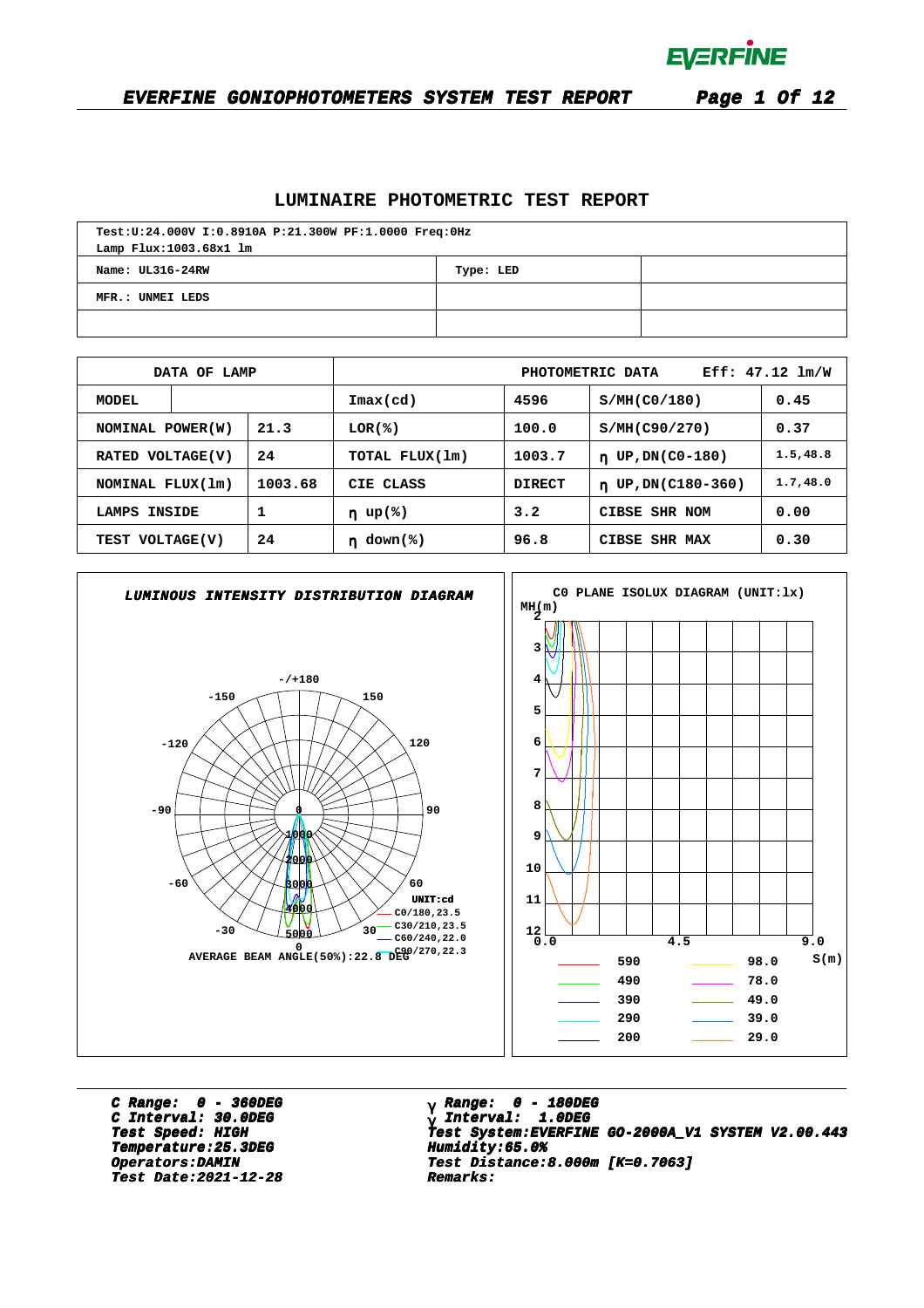

#### **EVERFINE GONIOPHOTOMETERS SYSTEM TEST REPORT Page 1 Of 12**

#### **LUMINAIRE PHOTOMETRIC TEST REPORT**

| Test:U:24.000V I:0.8910A P:21.300W PF:1.0000 Freq:0Hz<br>Lamp Flux:1003.68x1 lm |  |  |  |  |  |  |  |  |  |
|---------------------------------------------------------------------------------|--|--|--|--|--|--|--|--|--|
| Name: UL316-24RW<br>Type: LED                                                   |  |  |  |  |  |  |  |  |  |
| MFR.: UNMEI LEDS                                                                |  |  |  |  |  |  |  |  |  |
|                                                                                 |  |  |  |  |  |  |  |  |  |

|                   | DATA OF LAMP |         |                            |               | PHOTOMETRIC DATA              | $Eff: 47.12 \; lm/W$ |
|-------------------|--------------|---------|----------------------------|---------------|-------------------------------|----------------------|
| <b>MODEL</b>      |              |         | $\texttt{Imax}(\text{cd})$ | 4596          | S/MH(C0/180)                  | 0.45                 |
| NOMINAL POWER (W) |              | 21.3    | $LOR(\mathcal{E})$         | 100.0         | S/MH(C90/270)                 | 0.37                 |
| RATED VOLTAGE(V)  |              | 24      | TOTAL FLUX(1m)             | 1003.7        | UP, DN(C0-180)<br>$\mathbf n$ | 1.5, 48.8            |
| NOMINAL FLUX(1m)  |              | 1003.68 | CIE CLASS                  | <b>DIRECT</b> | $n$ UP, DN(C180-360)          | 1.7, 48.0            |
| LAMPS INSIDE      |              | 1       | $\eta$ up(%)               | 3.2           | CIBSE SHR NOM                 | 0.00                 |
| TEST VOLTAGE(V)   |              | 24      | $down$ (%)                 | 96.8          | CIBSE<br>SHR MAX              | 0.30                 |



**C Range: 0 - 360DEG C Interval: 30.0DEG Temperature:25.3DEG Humidity:65.0% Temperature:25.3DEG Humidity:65.0% Test Date:2021-12-28 Remarks: Date:2021-12-28 Remarks:**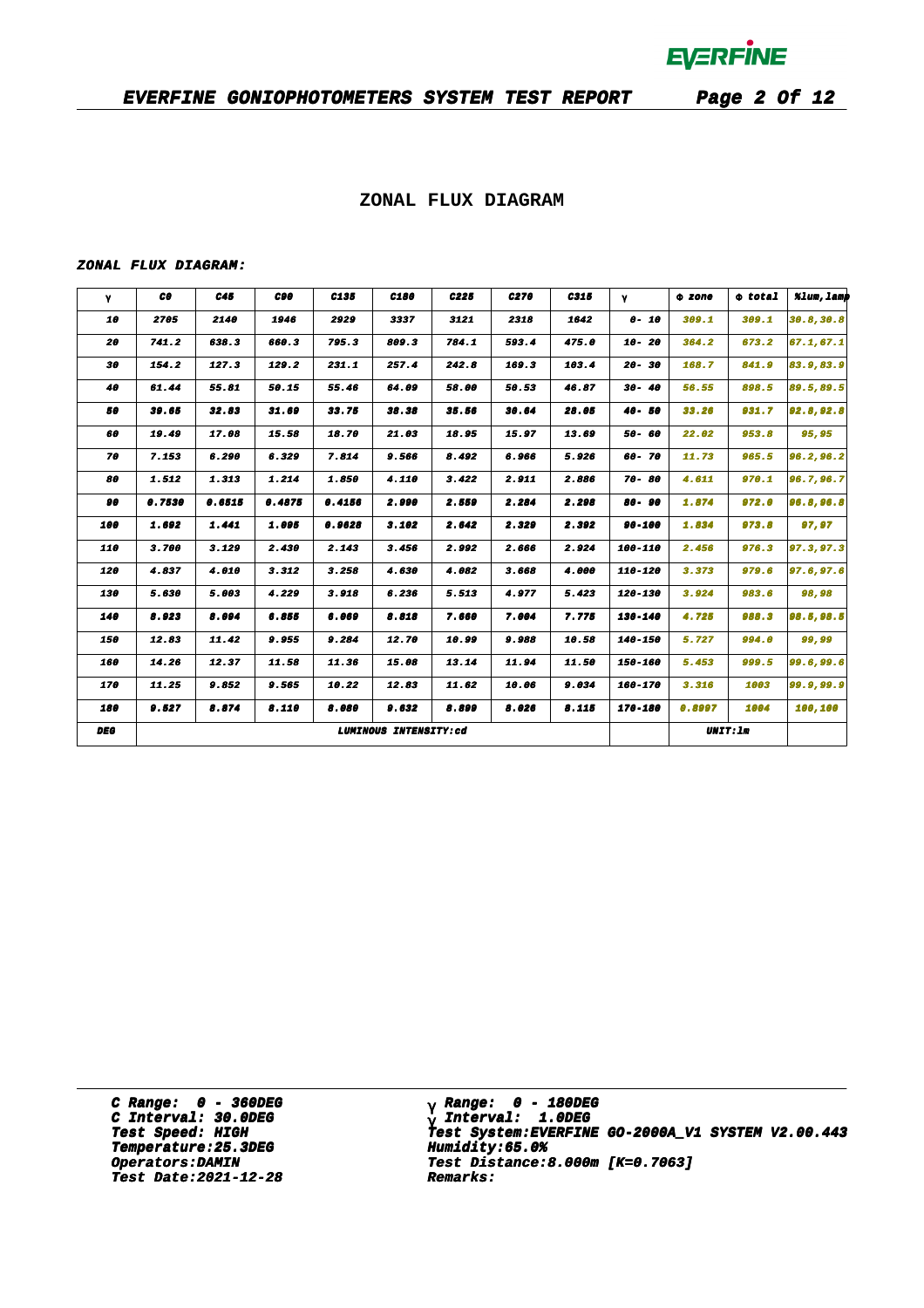### **EVERFINE GONIOPHOTOMETERS SYSTEM TEST REPORT Page 2 Of 12**

### **ZONAL FLUX DIAGRAM**

#### **ZONAL FLUX DIAGRAM:**

| γ          | CO.    | C45    | C90    | C135   | C180                  | C <sub>225</sub> | C270  | C315  | $\gamma$  | 0 zone<br>309.1 | $\Phi$ total<br>309.1 | %lum, lamp |
|------------|--------|--------|--------|--------|-----------------------|------------------|-------|-------|-----------|-----------------|-----------------------|------------|
| 10         | 2705   | 2140   | 1946   | 2929   | 3337                  | 3121             | 2318  | 1642  | $0 - 10$  |                 |                       | 30.8, 30.8 |
| 20         | 741.2  | 638.3  | 660.3  | 795.3  | 809.3                 | 784.1            | 593.4 | 475.0 | 10- 20    | 364.2           | 673.2                 | 67.1, 67.1 |
| 30         | 154.2  | 127.3  | 129.2  | 231.1  | 257.4                 | 242.8            | 169.3 | 103.4 | $20 - 30$ | 168.7           | 841.9                 | 83.9,83.9  |
| 40         | 61.44  | 55.81  | 50.15  | 55.46  | 64.09                 | 58.00            | 50.53 | 46.87 | $30 - 40$ | 56.55           | 898.5                 | 89.5,89.5  |
| 50         | 39.65  | 32.83  | 31.69  | 33.75  | 38.38                 | 35.56            | 30.64 | 28.05 | $40 - 50$ | 33.26           | 931.7                 | 92.8,92.8  |
| 60         | 19.49  | 17.08  | 15.58  | 18.70  | 21.03                 | 18.95            | 15.97 | 13.69 | 50- 60    | 22.02           | 953.8                 | 95,95      |
| 70         | 7.153  | 6.290  | 6.329  | 7.814  | 9.566                 | 8.492            | 6.966 | 5.926 | 60-70     | 11.73           | 965.5                 | 96.2,96.2  |
| 80         | 1.512  | 1.313  | 1.214  | 1.850  | 4.110                 | 3.422            | 2.911 | 2.886 | $70 - 80$ | 4.611           | 970.1                 | 96.7,96.7  |
| 90         | 0.7530 | 0.6515 | 0.4875 | 0.4156 | 2.990                 | 2.559            | 2.284 | 2.298 | 80-90     | 1.874           | 972.0                 | 96.8,96.8  |
| 100        | 1.692  | 1,441  | 1.095  | 0.9628 | 3.102                 | 2.642            | 2.329 | 2.392 | 90-100    | 1.834           | 973.8                 | 97,97      |
| 110        | 3.700  | 3.129  | 2.430  | 2.143  | 3.456                 | 2.992            | 2.666 | 2.924 | 100-110   | 2.456           | 976.3                 | 97.3,97.3  |
| 120        | 4.837  | 4.010  | 3.312  | 3.258  | 4.630                 | 4.082            | 3.668 | 4.000 | 110-120   | 3.373           | 979.6                 | 97.6, 97.6 |
| 130        | 5.630  | 5.003  | 4.229  | 3.918  | 6.236                 | 5.513            | 4.977 | 5.423 | 120-130   | 3.924           | 983.6                 | 98,98      |
| 140        | 8.923  | 8.094  | 6.855  | 6.069  | 8.818                 | 7.660            | 7.004 | 7.775 | 130-140   | 4.725           | 988.3                 | 98.5,98.5  |
| 150        | 12.83  | 11.42  | 9.955  | 9.284  | 12.70                 | 10.99            | 9.988 | 10.58 | 140-150   | 5.727           | 994.0                 | 99,99      |
| 160        | 14.26  | 12.37  | 11.58  | 11.36  | 15.08                 | 13.14            | 11.94 | 11.50 | 150-160   | 5.453           | 999.5                 | 99.6,99.6  |
| 170        | 11.25  | 9.852  | 9.565  | 10.22  | 12.83                 | 11.62            | 10.06 | 9.034 | 160-170   | 3.316           | 1003                  | 99.9,99.9  |
| 180        | 9.527  | 8.874  | 8.110  | 8.080  | 9.632                 | 8.899            | 8.026 | 8.115 | 170-180   | 0.8997          | 1004                  | 100,100    |
| <b>DEG</b> |        |        |        |        | LUMINOUS INTENSITY:cd |                  |       |       |           |                 | <b>UNIT: 1m</b>       |            |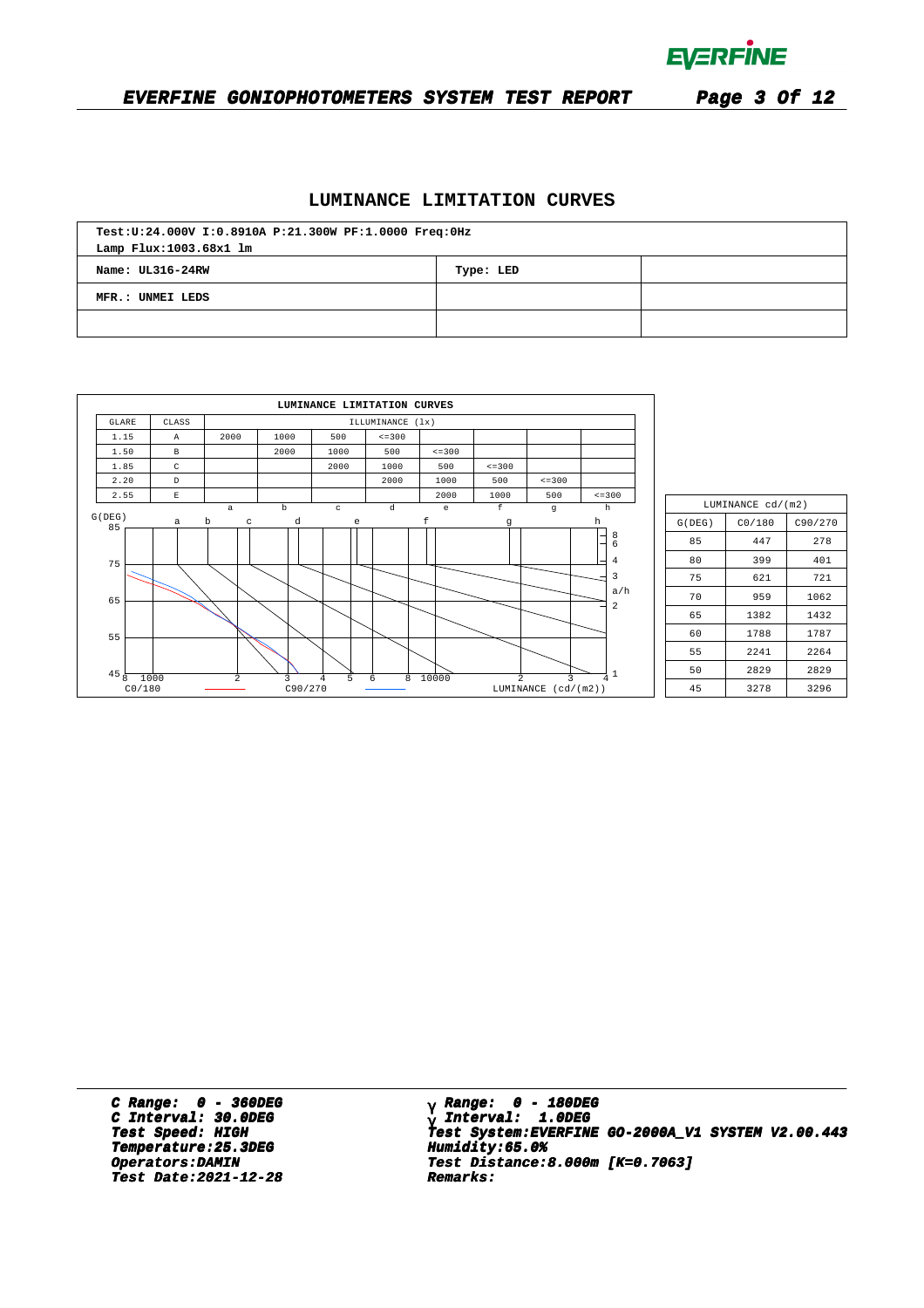

## **EVERFINE GONIOPHOTOMETERS SYSTEM TEST REPORT Page 3 Of 12**

### **LUMINANCE LIMITATION CURVES**

| Test:U:24.000V I:0.8910A P:21.300W PF:1.0000 Freq:0Hz |  |  |  |  |  |  |  |  |  |
|-------------------------------------------------------|--|--|--|--|--|--|--|--|--|
| Lamp Flux:1003.68x1 lm                                |  |  |  |  |  |  |  |  |  |
| Name: UL316-24RW<br>Type: LED                         |  |  |  |  |  |  |  |  |  |
| MFR.: UNMEI LEDS                                      |  |  |  |  |  |  |  |  |  |
|                                                       |  |  |  |  |  |  |  |  |  |

|                 |                |                  |              | LUMINANCE LIMITATION CURVES |                  |                                                |                |                          |                                |
|-----------------|----------------|------------------|--------------|-----------------------------|------------------|------------------------------------------------|----------------|--------------------------|--------------------------------|
| <b>GLARE</b>    | CLASS          |                  |              |                             | ILLUMINANCE (1x) |                                                |                |                          |                                |
| 1.15            | $\mathbb{A}$   | 2000             | 1000         | 500                         | $\le$ = 300      |                                                |                |                          |                                |
| 1.50            | $\,$ B         |                  | 2000         | 1000                        | 500              | $\leq$ = 300                                   |                |                          |                                |
| 1.85            | C              |                  |              | 2000                        | 1000             | 500                                            | $\leq$ = 300   |                          |                                |
| 2.20            | $\mathbb D$    |                  |              |                             | 2000             | 1000                                           | 500            | $\leq$ = 300             |                                |
| 2.55            | $\mathbf E$    |                  |              |                             |                  | 2000                                           | 1000           | 500                      | $\leq$ = 300                   |
| G(DEG)          |                | $\mathsf a$      | $\mathbf b$  | $\mathtt{c}$                | d                | $\mathsf{e}% _{0}\left( \mathsf{e}_{0}\right)$ | $\mathbf f$    | $\mathbf g$              | h                              |
| 85              | $\mathsf{a}$   | $\mathbf b$<br>C | d            | e                           |                  | f                                              | g              |                          | h                              |
| 75              |                |                  |              |                             |                  |                                                |                |                          | $\frac{8}{6}$<br>4<br>3        |
| 65              |                |                  |              |                             |                  |                                                |                |                          | a/h<br>$\overline{\mathbf{c}}$ |
| 55              |                |                  |              |                             |                  |                                                |                |                          |                                |
| $45\frac{1}{8}$ | 1000<br>CO/180 | $\overline{2}$   | 3<br>C90/270 | 5<br>4                      | 6<br>8           | 10000                                          | $\overline{2}$ | 3<br>LUMINANCE (cd/(m2)) | 4                              |

| LUMINANCE cd/(m2) |        |      |  |  |  |  |  |  |  |  |
|-------------------|--------|------|--|--|--|--|--|--|--|--|
| G(DEG)            | CO/180 |      |  |  |  |  |  |  |  |  |
| 85                | 447    | 278  |  |  |  |  |  |  |  |  |
| 80                | 399    | 401  |  |  |  |  |  |  |  |  |
| 75                | 621    | 721  |  |  |  |  |  |  |  |  |
| 70                | 959    | 1062 |  |  |  |  |  |  |  |  |
| 65                | 1382   | 1432 |  |  |  |  |  |  |  |  |
| 60                | 1788   | 1787 |  |  |  |  |  |  |  |  |
| 55                | 2241   | 2264 |  |  |  |  |  |  |  |  |
| 50                | 2829   | 2829 |  |  |  |  |  |  |  |  |
| 45                | 3278   | 3296 |  |  |  |  |  |  |  |  |

**C Range: 0 - 360DEG C Interval: 30.0DEG Temperature:25.3DEG Humidity:65.0% Temperature:25.3DEG Humidity:65.0% Test Date:2021-12-28 Remarks: Date:2021-12-28 Remarks:**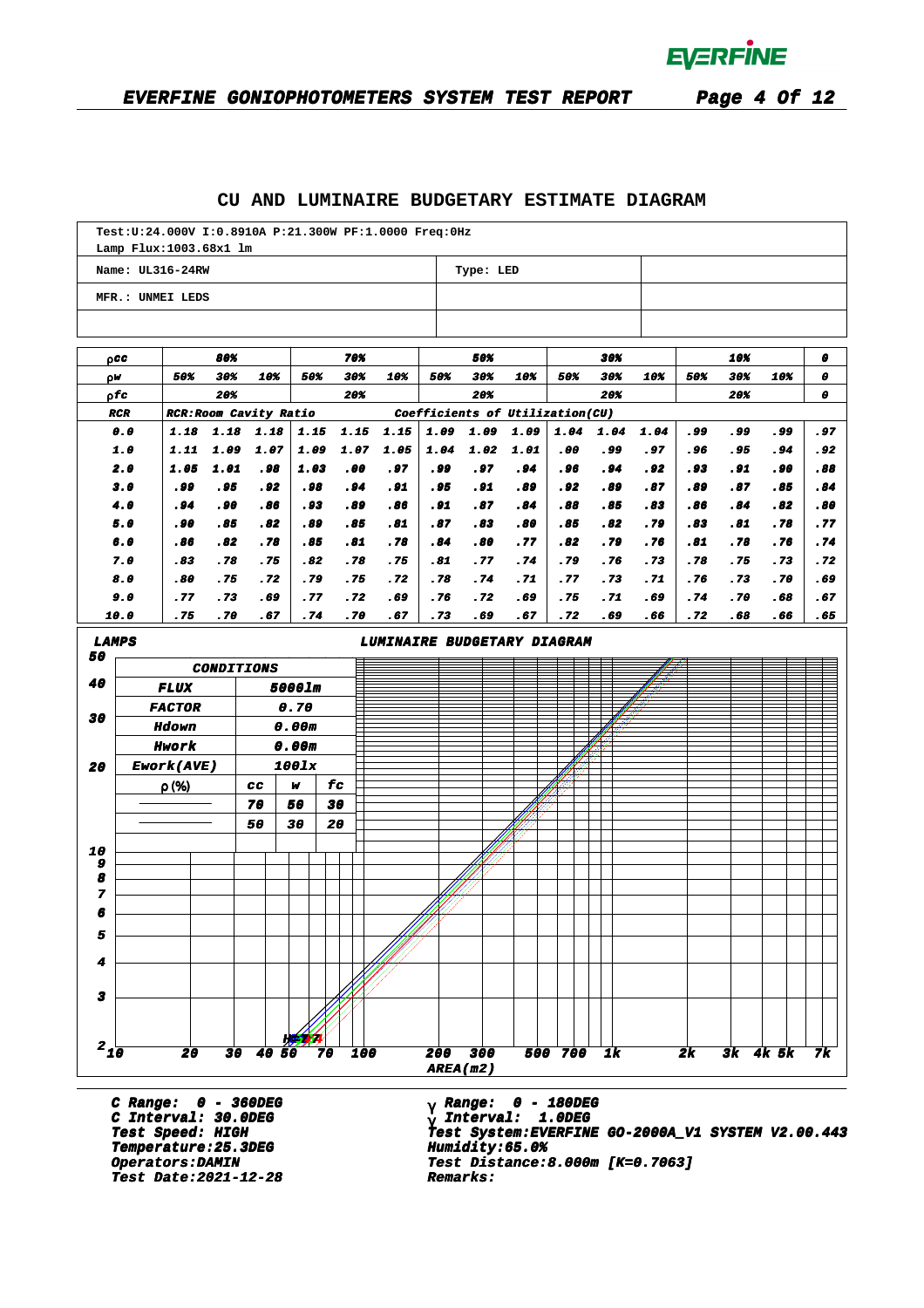### **CU AND LUMINAIRE BUDGETARY ESTIMATE DIAGRAM**

|                         |            | Test: U: 24.000V I: 0.8910A P: 21.300W PF: 1.0000 Freq: 0Hz<br>Lamp Flux: 1003.68x1 lm |                   |              |        |              |              |                             |                                 |              |              |             |             |             |            |            |                |              |
|-------------------------|------------|----------------------------------------------------------------------------------------|-------------------|--------------|--------|--------------|--------------|-----------------------------|---------------------------------|--------------|--------------|-------------|-------------|-------------|------------|------------|----------------|--------------|
|                         |            | Name: UL316-24RW                                                                       |                   |              |        |              |              |                             |                                 | Type: LED    |              |             |             |             |            |            |                |              |
|                         |            | MFR.: UNMEI LEDS                                                                       |                   |              |        |              |              |                             |                                 |              |              |             |             |             |            |            |                |              |
|                         |            |                                                                                        |                   |              |        |              |              |                             |                                 |              |              |             |             |             |            |            |                |              |
|                         | 0 C C      |                                                                                        | 80%               |              |        |              | 70%          |                             |                                 | 50%          |              |             | 30%         |             |            | 10%        |                | 0            |
| ρW                      |            | 50%                                                                                    | 30%               | 10%          |        | 50%          | 30%          | 10%                         | 50%                             | 30%          | 10%          | 50%         | 30%         | 10%         | 50%        | 30%        | 10%            | 0            |
|                         | ρfc        |                                                                                        | 20%               |              |        |              | 20%          |                             |                                 | 20%          |              |             | 20%         |             |            | 20%        |                | 0            |
|                         | <b>RCR</b> | RCR: Room Cavity Ratio                                                                 |                   |              |        |              |              |                             | Coefficients of Utilization(CU) |              |              |             |             |             |            |            |                |              |
|                         | 0.0<br>1.0 | 1.18<br>1.11                                                                           | 1.18<br>1.09      | 1.18<br>1.07 |        | 1.15<br>1.09 | 1.15<br>1.07 | 1.15<br>1.05                | 1.09<br>1.04                    | 1.09<br>1.02 | 1.09<br>1.01 | 1.04<br>.00 | 1.04<br>وو. | 1.04<br>.97 | .99<br>.96 | وو.<br>.95 | وو.<br>.94     | . 97<br>. 92 |
|                         | 2.0        | 1.05                                                                                   | 1.01              | .98          |        | 1.03         | .00          | .97                         | وو.                             | .97          | . 94         | . 96        | . 94        | . 92        | .93        | . 91       | . 90           | .88          |
|                         | 3.0        | . 99                                                                                   | . 95              | . 92         |        | . 98         | .94          | .91                         | . 95                            | .91          | .89          | . 92        | .89         | .87         | .89        | .87        | .85            | .84          |
|                         | 4.0        | .94                                                                                    | . 90              | .86          |        | . 93         | .89          | .86                         | .91                             | .87          | .84          | .88         | .85         | .83         | .86        | .84        | .82            | .80          |
|                         | 5.0        | .90                                                                                    | .85               | .82          |        | .89          | .85          | .81                         | .87                             | .83          | .80          | .85         | .82         | .79         | .83        | .81        | .78            | .77          |
|                         | 6.0        | .86                                                                                    | .82               | .78          |        | .85          | .81          | .78                         | .84                             | .80          | .77          | .82         | .79         | .76         | .81        | .78        | .76            | .74          |
|                         | 7.0        | .83                                                                                    | .78               | .75          |        | .82          | .78          | .75                         | .81                             | .77          | .74          | .79         | .76         | .73         | .78        | .75        | .73            | .72          |
|                         | 8.0        | .80                                                                                    | .75               | .72          |        | .79          | .75          | .72                         | .78                             | .74          | .71          | .77         | .73         | .71         | .76        | .73        | .70            | .69          |
|                         | 9.0        | .77                                                                                    | .73               | .69          |        | .77          | .72          | .69                         | .76                             | .72          | .69          | .75         | .71         | .69         | .74        | .70        | .68            | .67          |
|                         | 10.0       | .75                                                                                    | .70               | .67          |        | .74          | .70          | .67                         | .73                             | .69          | .67          | .72         | .69         | .66         | .72        | .68        | .66            | .65          |
| <b>LAMPS</b>            |            |                                                                                        |                   |              |        |              |              | LUMINAIRE BUDGETARY DIAGRAM |                                 |              |              |             |             |             |            |            |                |              |
| 50                      |            |                                                                                        | <b>CONDITIONS</b> |              |        |              |              |                             |                                 |              |              |             |             |             |            |            |                |              |
| 40                      |            | <b>FLUX</b>                                                                            |                   |              | 5000lm |              |              |                             |                                 |              |              |             |             |             |            |            |                |              |
| 30                      |            | <b>FACTOR</b>                                                                          |                   |              | 0.70   |              |              |                             |                                 |              |              |             |             |             |            |            |                |              |
|                         |            | <b>Hdown</b>                                                                           |                   |              | 0.00m  |              |              |                             |                                 |              |              |             |             |             |            |            |                |              |
|                         |            | Hwork                                                                                  |                   |              | 0.00m  |              |              |                             |                                 |              |              |             |             |             |            |            |                |              |
| 20                      |            | Ework(AVE)                                                                             |                   |              | 1001x  |              |              |                             |                                 |              |              |             |             |             |            |            |                |              |
|                         |            | $\rho$ (%)                                                                             |                   | CC           | w      | £с           |              |                             |                                 |              |              |             |             |             |            |            |                |              |
|                         |            |                                                                                        |                   | 70           | 50     | 30           |              |                             |                                 |              |              |             |             |             |            |            |                |              |
|                         |            |                                                                                        |                   | 50           | 30     | 20           |              |                             |                                 |              |              |             |             |             |            |            |                |              |
| 10                      |            |                                                                                        |                   |              |        |              |              |                             |                                 |              |              |             |             |             |            |            |                |              |
| 9<br>8                  |            |                                                                                        |                   |              |        |              |              |                             |                                 |              |              |             |             |             |            |            |                |              |
| 7                       |            |                                                                                        |                   |              |        |              |              |                             |                                 |              |              |             |             |             |            |            |                |              |
| ĸ                       |            |                                                                                        |                   |              |        |              |              |                             |                                 |              |              |             |             |             |            |            |                |              |
| 5                       |            |                                                                                        |                   |              |        |              |              |                             |                                 |              |              |             |             |             |            |            |                |              |
| 4                       |            |                                                                                        |                   |              |        |              |              |                             |                                 |              |              |             |             |             |            |            |                |              |
|                         |            |                                                                                        |                   |              |        |              |              |                             |                                 |              |              |             |             |             |            |            |                |              |
| $\overline{\mathbf{3}}$ |            |                                                                                        |                   |              |        |              |              |                             |                                 |              |              |             |             |             |            |            |                |              |
|                         |            |                                                                                        |                   |              |        |              |              |                             |                                 |              |              |             |             |             |            |            |                |              |
| $2_{10}$                |            |                                                                                        |                   |              |        |              |              |                             |                                 |              |              |             |             |             |            |            |                |              |
|                         |            | 20                                                                                     |                   | $30$ 40 50   |        | 70           | 100          |                             | 200<br>AREA(m2)                 | 300          |              | 500 700     | 1k          |             | 2k         |            | $3k$ $4k$ $5k$ | 7k           |
|                         |            |                                                                                        |                   |              |        |              |              |                             |                                 |              |              |             |             |             |            |            |                |              |

**C Range: 0 - 360DEG C Interval: 30.0DEG Temperature:25.3DEG Humidity:65.0% Temperature:25.3DEG Humidity:65.0% Test Date:2021-12-28 Remarks: Date:2021-12-28 Remarks:**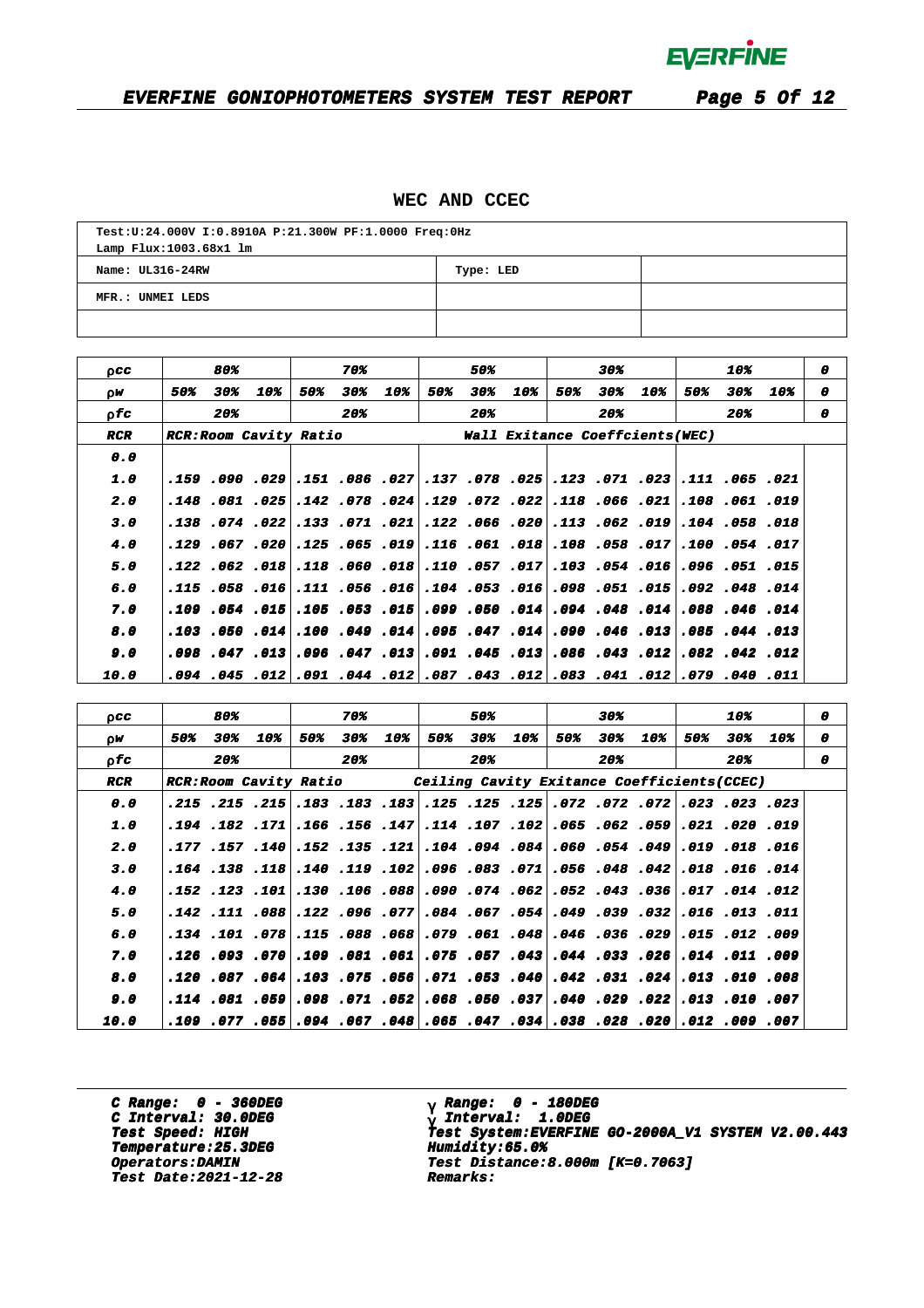### **EVERFINE GONIOPHOTOMETERS SYSTEM TEST REPORT Page 5 Of 12**

### **WEC AND CCEC**

| Test:U:24.000V I:0.8910A P:21.300W PF:1.0000 Freq:0Hz |  |  |  |  |  |  |  |  |  |
|-------------------------------------------------------|--|--|--|--|--|--|--|--|--|
| Lamp Flux:1003.68x1 lm                                |  |  |  |  |  |  |  |  |  |
| Name: UL316-24RW<br>Type: LED                         |  |  |  |  |  |  |  |  |  |
| MFR.: UNMEI LEDS                                      |  |  |  |  |  |  |  |  |  |
|                                                       |  |  |  |  |  |  |  |  |  |

| 0 <sub>CC</sub>    |     | 80% |                                     |     | 70%              |     |     | 50% |                                                                                 |     | 30% |     |     | 10% |     | 0 |
|--------------------|-----|-----|-------------------------------------|-----|------------------|-----|-----|-----|---------------------------------------------------------------------------------|-----|-----|-----|-----|-----|-----|---|
| ρW                 | 50% | 30% | 10%                                 | 50% | 30%              | 10% | 50% | 30% | 10%                                                                             | 50% | 30% | 10% | 50% | 30% | 10% | 0 |
| 0 fc               |     | 20% |                                     |     | 20%              |     |     | 20% |                                                                                 |     | 20% |     |     | 20% |     | o |
| <b>RCR</b>         |     |     | <i><b>RCR:Room Cavity Ratio</b></i> |     |                  |     |     |     | <b>Wall Exitance Coeffcients(WEC)</b>                                           |     |     |     |     |     |     |   |
| 0.0                |     |     |                                     |     |                  |     |     |     |                                                                                 |     |     |     |     |     |     |   |
| 1.0                |     |     |                                     |     |                  |     |     |     | .121. 065. 111. 293. 071. 123. 255. 078. 137. 27. 086. 151. 299. 090. 159.      |     |     |     |     |     |     |   |
| 2.0                |     |     |                                     |     |                  |     |     |     | 109. 061. 070. 078. 066. 018. 022. 072. 079. 024. 078. 078. 025. 025. 048.      |     |     |     |     |     |     |   |
| 3.0                |     |     |                                     |     |                  |     |     |     | 018. 058. 104. 109. 062. 113. 020. 066. 112. 021. 071. 021. 023. 074. 138. 138. |     |     |     |     |     |     |   |
| 4.0                |     |     | .129.067.020                        |     | .125 .065 .019   |     |     |     | .116 .061 .018 .058 .058 .017 .100 .054 .017                                    |     |     |     |     |     |     |   |
| 5.0                |     |     | $.122$ $.062$ $.018$                |     | .118 .060 .018   |     |     |     | .110 .057 .017 .103 .054 .016 .096 .051 .015                                    |     |     |     |     |     |     |   |
| 6.0                |     |     | .115 .058 .016 .111 .056 .016       |     |                  |     |     |     | .104 .053 .016 .098 .051 .015 .092 .048 .014                                    |     |     |     |     |     |     |   |
| 7.0                |     |     | $.109$ $.054$ $.015$                |     | $.105$ .053 .015 |     |     |     | .099.050 .014.048.014 .048.014 .099.046                                         |     |     |     |     |     |     |   |
| 8.0                |     |     |                                     |     |                  |     |     |     | 113. 044. 085. 045. 046. 090. 014. 047. 097. 049. 049. 010. 014. 050. 050.      |     |     |     |     |     |     |   |
| 9.0                |     |     | 13.047.096. 103. 047.098.           |     |                  |     |     |     | .091 .045 .013 .086 .043 .012 .082 .042 .012                                    |     |     |     |     |     |     |   |
| <i><b>10.0</b></i> |     |     |                                     |     |                  |     |     |     | .011.029.040.079.102.081.080.012.083.041.087.094.094.099.040.012.094.099        |     |     |     |     |     |     |   |
|                    |     |     |                                     |     |                  |     |     |     |                                                                                 |     |     |     |     |     |     |   |

| 0 C C | 80%                          |            | 70%                           |     | 50%        | 30%        | 10%                                                                             | 0 |
|-------|------------------------------|------------|-------------------------------|-----|------------|------------|---------------------------------------------------------------------------------|---|
| ΟW    | 50%<br>30%                   | 10%<br>50% | 30%<br>10%                    | 50% | 10%<br>30% | 50%<br>30% | 10%<br>30%<br>50%<br>10%                                                        | 0 |
| o fa  | 20%                          |            | 20%                           |     | 20%        | 20%        | 20%                                                                             | 0 |
| RCR   | <b>RCR:Room Cavity Ratio</b> |            |                               |     |            |            | Ceiling Cavity Exitance Coefficients (CCEC)                                     |   |
| 0.0   |                              |            |                               |     |            |            | 023. 023. 023. 072. 072. 072. 072. 125. 125. 183. 183. 183. 125. 125. 215.      |   |
| 1.0   |                              |            |                               |     |            |            | 919. 200. 2021. 2051. 262. 265. 2021. 107. 114. 147. 156. 166. 171. 162. 194.   |   |
| 2.0   |                              |            |                               |     |            |            | 016. 018. 019. 039. 054. 050. 084. 094. 094. 117. 155. 041. 157. 157. 177.      |   |
| 3.0   |                              |            |                               |     |            |            | .140. 166. 018. 028. 048. 108. 071. 083. 106. 029. 118. 118. 118. 138. 164.     |   |
| 4.0   |                              |            | 088. 106. 120. 101. 123. 152. |     |            |            | .012. 014. 017. 052. 043. 043. 052. 074. 090.                                   |   |
| 5.0   |                              |            | 777. 096. 122. 888. 111. 142. |     |            |            | .011 .053 .032 .039 .039 .039 .034 .054 .054                                    |   |
| 6.0   |                              |            | 068. 088. 115. 178. 101. 134. |     |            |            | .012 .061 .048 .046 .036 .029 .015 .019 .079                                    |   |
| 7.0   |                              |            |                               |     |            |            | 009. 110. 014. 206. 033. 044. 043. 057. 057. 061. 051. 070. 093. 096. 126.      |   |
| 8.0   |                              |            |                               |     |            |            | 008. 1010. 1013.  204. 1031. 1042. 1050. 1071.  206. 1075. 108.  206. 108. 120. |   |
| 9.0   |                              |            |                               |     |            |            | 007. 101. 013. 229. 239. 240. 237. 050. 050. 052. 071. 098. 059. 059. 114.      |   |
| 10.0  |                              |            |                               |     |            |            | 007. 009. 012. 020. 028. 038. 038. 047. 055. 048. 055. 055. 055. 057. 070. 019. |   |

**C Range: 0 - 360DEG** C Interval: 30.0DEG<br> **C Interval: 30.0DEG**<br> **Test Speed: HIGH Temperature:25.3DEG Humidity:65.0% Temperature:25.3DEG Humidity:65.0% Test Date:2021-12-28 Remarks: Date:2021-12-28 Remarks:**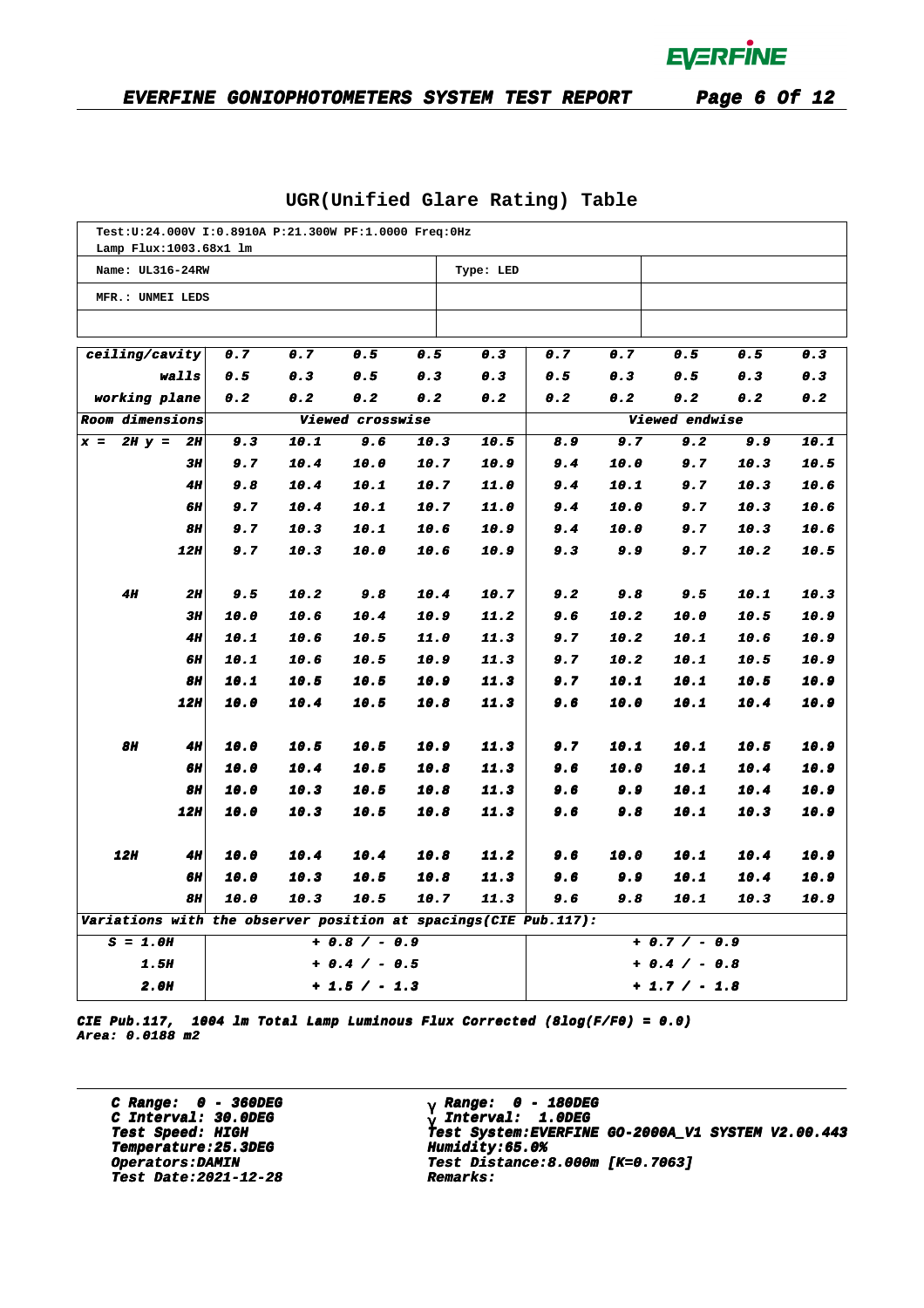| Test: U: 24.000V I: 0.8910A P: 21.300W PF: 1.0000 Freq: 0Hz     |           |      |      |                  |      |           |     |      |                 |      |      |
|-----------------------------------------------------------------|-----------|------|------|------------------|------|-----------|-----|------|-----------------|------|------|
| Lamp Flux:1003.68x1 lm                                          |           |      |      |                  |      |           |     |      |                 |      |      |
| Name: UL316-24RW                                                |           |      |      |                  |      | Type: LED |     |      |                 |      |      |
| MFR.: UNMEI LEDS                                                |           |      |      |                  |      |           |     |      |                 |      |      |
|                                                                 |           |      |      |                  |      |           |     |      |                 |      |      |
| ceiling/cavity                                                  |           | 0.7  | 0.7  | 0.5              | 0.5  | 0.3       | 0.7 | 0.7  | 0.5             | 0.5  | 0.3  |
| walls                                                           |           | 0.5  | 0.3  | 0.5              | 0.3  | 0.3       | 0.5 | 0.3  | 0.5             | 0.3  | 0.3  |
| working plane                                                   |           | 0.2  | 0.2  | 0.2              | 0.2  | 0.2       | 0.2 | 0.2  | 0.2             | 0.2  | 0.2  |
| Room dimensions                                                 |           |      |      | Viewed crosswise |      |           |     |      | Viewed endwise  |      |      |
| $2H y =$<br>$x =$                                               | 2H        | 9.3  | 10.1 | 9.6              | 10.3 | 10.5      | 8.9 | 9.7  | 9.2             | 9.9  | 10.1 |
|                                                                 | 3П        | 9.7  | 10.4 | 10.0             | 10.7 | 10.9      | 9.4 | 10.0 | 9.7             | 10.3 | 10.5 |
|                                                                 | <b>4H</b> | 9.8  | 10.4 | 10.1             | 10.7 | 11.0      | 9.4 | 10.1 | 9.7             | 10.3 | 10.6 |
|                                                                 | 6Н        | 9.7  | 10.4 | 10.1             | 10.7 | 11.0      | 9.4 | 10.0 | 9.7             | 10.3 | 10.6 |
|                                                                 | 8H        | 9.7  | 10.3 | 10.1             | 10.6 | 10.9      | 9.4 | 10.0 | 9.7             | 10.3 | 10.6 |
|                                                                 | 12H       | 9.7  | 10.3 | 10.0             | 10.6 | 10.9      | 9.3 | 9.9  | 9.7             | 10.2 | 10.5 |
| 4H                                                              | 2H        | 9.5  | 10.2 | 9.8              | 10.4 | 10.7      | 9.2 | 9.8  | 9.5             | 10.1 | 10.3 |
|                                                                 | 3H        | 10.0 | 10.6 | 10.4             | 10.9 | 11.2      | 9.6 | 10.2 | 10.0            | 10.5 | 10.9 |
|                                                                 | <b>4H</b> | 10.1 | 10.6 | 10.5             | 11.0 | 11.3      | 9.7 | 10.2 | 10.1            | 10.6 | 10.9 |
|                                                                 | 6Н        | 10.1 | 10.6 | 10.5             | 10.9 | 11.3      | 9.7 | 10.2 | 10.1            | 10.5 | 10.9 |
|                                                                 | 8H        | 10.1 | 10.5 | 10.5             | 10.9 | 11.3      | 9.7 | 10.1 | 10.1            | 10.5 | 10.9 |
|                                                                 | 12H       | 10.0 | 10.4 | 10.5             | 10.8 | 11.3      | 9.6 | 10.0 | 10.1            | 10.4 | 10.9 |
| <b>8H</b>                                                       | 4H        | 10.0 | 10.5 | 10.5             | 10.9 | 11.3      | 9.7 | 10.1 | 10.1            | 10.5 | 10.9 |
|                                                                 | 6H        | 10.0 | 10.4 | 10.5             | 10.8 | 11.3      | 9.6 | 10.0 | 10.1            | 10.4 | 10.9 |
|                                                                 | 8H        | 10.0 | 10.3 | 10.5             | 10.8 | 11.3      | 9.6 | 9.9  | 10.1            | 10.4 | 10.9 |
|                                                                 | 12H       | 10.0 | 10.3 | 10.5             | 10.8 | 11.3      | 9.6 | 9.8  | 10.1            | 10.3 | 10.9 |
| <b>12H</b>                                                      | 4H        | 10.0 | 10.4 | 10.4             | 10.8 | 11.2      | 9.6 | 10.0 | 10.1            | 10.4 | 10.9 |
|                                                                 | 6Н        | 10.0 | 10.3 | 10.5             | 10.8 | 11.3      | 9.6 | 9.9  | 10.1            | 10.4 | 10.9 |
|                                                                 | 8H        | 10.0 | 10.3 | 10.5             | 10.7 | 11.3      | 9.6 | 9.8  | 10.1            | 10.3 | 10.9 |
| Variations with the observer position at spacings(CIE Pub.117): |           |      |      |                  |      |           |     |      |                 |      |      |
| $S = 1.0H$                                                      |           |      |      | $+ 0.8 / - 0.9$  |      |           |     |      | $+ 0.7 / - 0.9$ |      |      |
| <b>1.5H</b><br>+ 0.4 / - 0.5                                    |           |      |      |                  |      |           |     |      | + 0.4 / - 0.8   |      |      |
| <i><b>2.0H</b></i>                                              |           |      |      | $+1.5 / -1.3$    |      |           |     |      | + 1.7 / - 1.8   |      |      |

### **UGR(Unified Glare Rating) Table**

**CIE Pub.117, 1004 lm Total Lamp Luminous Flux Corrected (8log(F/F0) = 0.0) Area: 0.0188 m2**

**C Range: 0 - 360DEG C Interval: 30.0DEG Temperature:25.3DEG Humidity:65.0% Temperature:25.3DEG Humidity:65.0% Test Date:2021-12-28 Remarks: Date:2021-12-28 Remarks:**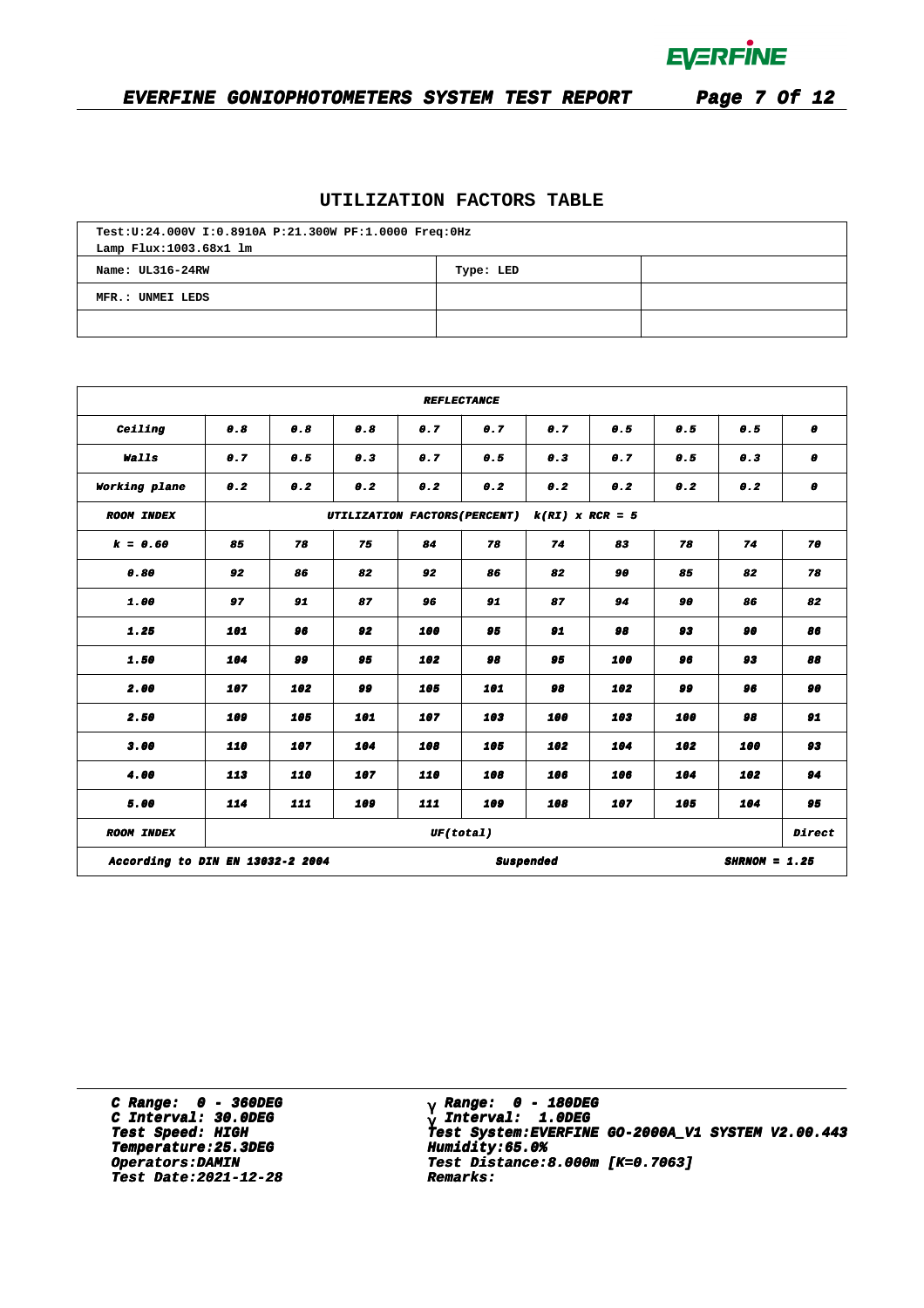

## **EVERFINE GONIOPHOTOMETERS SYSTEM TEST REPORT Page 7 Of 12**

### **UTILIZATION FACTORS TABLE**

| Test:U:24.000V I:0.8910A P:21.300W PF:1.0000 Freq:0Hz<br>Lamp Flux:1003.68x1 lm |  |  |  |  |  |  |  |  |  |  |
|---------------------------------------------------------------------------------|--|--|--|--|--|--|--|--|--|--|
| Name: UL316-24RW<br>Type: LED                                                   |  |  |  |  |  |  |  |  |  |  |
| MFR.: UNMEI LEDS                                                                |  |  |  |  |  |  |  |  |  |  |
|                                                                                 |  |  |  |  |  |  |  |  |  |  |

| <b>REFLECTANCE</b>                                               |                                                    |          |            |           |     |          |     |            |     |    |  |  |
|------------------------------------------------------------------|----------------------------------------------------|----------|------------|-----------|-----|----------|-----|------------|-----|----|--|--|
| Ceiling                                                          | 0.8<br>0.8                                         |          | 0.8<br>0.7 |           | 0.7 | 0.7      |     | 0.5<br>0.5 |     | 0  |  |  |
| Walls                                                            | 0.7<br>0.5                                         |          | 0.3        | 0.7       | 0.5 | 0.3      |     | 0.7<br>0.5 |     | 0  |  |  |
| Working plane                                                    | 0.2                                                | 0.2      | 0.2        | 0.2       | 0.2 | 0.2      | 0.2 | 0.2        | 0.2 | 0  |  |  |
| <b>ROOM INDEX</b>                                                | UTILIZATION FACTORS (PERCENT)<br>$k(RI)$ x RCR = 5 |          |            |           |     |          |     |            |     |    |  |  |
| $k = 0.60$                                                       | 85                                                 | 78       | 75         | 84        | 78  | 74       | 83  | 78         | 74  | 70 |  |  |
| 0.80                                                             | 92                                                 | 86       | 82         | 92        | 86  | 82       | 90  | 85         | 82  | 78 |  |  |
| 1.00                                                             | 97                                                 | 91       | 87         | 96        | 91  | 87       | 94  | 90         | 86  | 82 |  |  |
| 1.25                                                             | 101                                                | 96       |            | 92<br>100 |     | 95<br>91 |     | 98<br>93   |     | 86 |  |  |
| 1.50                                                             | 104                                                | وو<br>95 |            | 102       | 98  | 95       | 100 | 96         | 93  | 88 |  |  |
| 2.00                                                             | 107                                                | 102      | 99         | 105       | 101 | 98       | 102 | 99         | 96  | 90 |  |  |
| 2.50                                                             | 109                                                | 105      | 101        | 107       | 103 | 100      | 103 | 100        | 98  | 91 |  |  |
| 3.00                                                             | 110                                                | 107      | 104        | 108       | 105 | 102      | 104 | 102        | 100 | 93 |  |  |
| 4.00                                                             | 113                                                | 110      | 107        | 110       | 108 | 106      | 106 | 104        | 102 | 94 |  |  |
| 5.00                                                             | 114                                                | 111      | 109        | 111       | 109 | 108      | 107 | 105        | 104 | 95 |  |  |
| UF(total)<br><b>ROOM INDEX</b>                                   |                                                    |          |            |           |     |          |     |            |     |    |  |  |
| According to DIN EN 13032-2 2004<br>Suspended<br>$SHRNOM = 1.25$ |                                                    |          |            |           |     |          |     |            |     |    |  |  |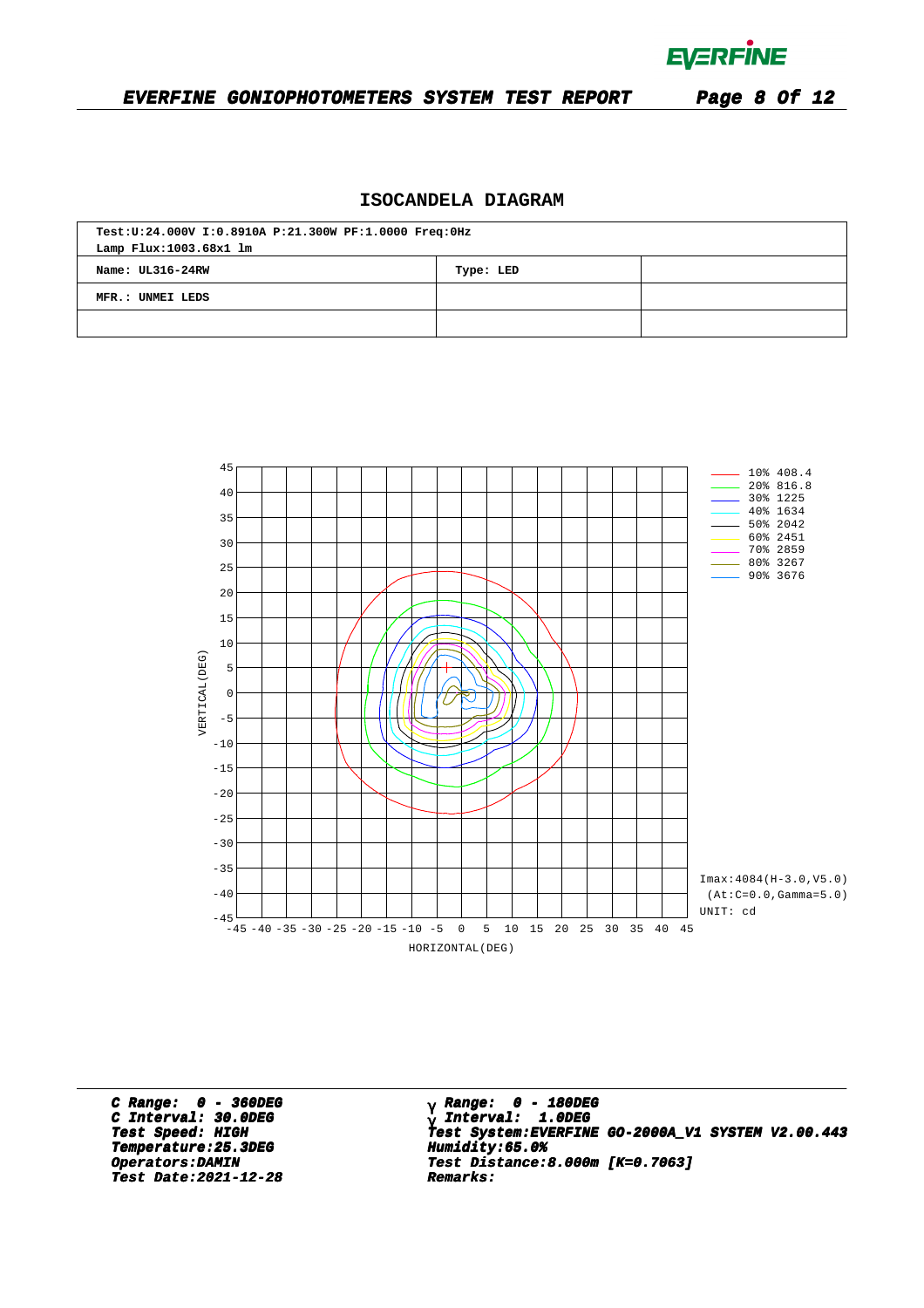**EVERFINE** 

#### **EVERFINE GONIOPHOTOMETERS SYSTEM TEST REPORT Page 8 Of 12**

### **ISOCANDELA DIAGRAM**

| Test:U:24.000V I:0.8910A P:21.300W PF:1.0000 Freq:0Hz<br>Lamp Flux: 1003.68x1 lm |  |  |  |  |  |  |  |  |
|----------------------------------------------------------------------------------|--|--|--|--|--|--|--|--|
| Name: UL316-24RW<br>Type: LED                                                    |  |  |  |  |  |  |  |  |
| MFR.: UNMEI LEDS                                                                 |  |  |  |  |  |  |  |  |
|                                                                                  |  |  |  |  |  |  |  |  |



**C Range: 0 - 360DEG C Interval: 30.0DEG Temperature:25.3DEG Humidity:65.0%**<br> **Operators:DAMIN Test Distance:8 Test Date:2021-12-28 Remarks: Date:2021-12-28 Remarks:**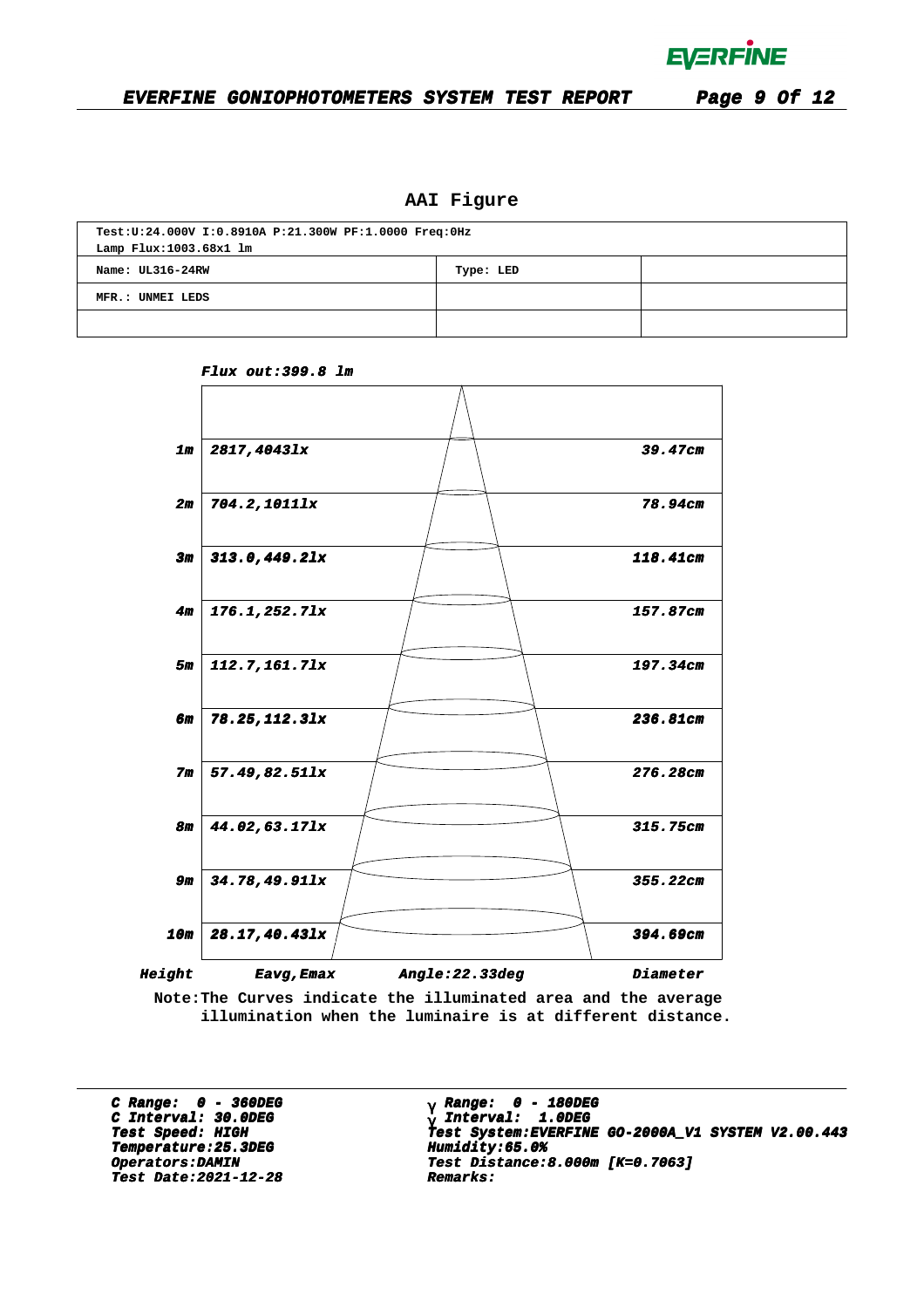

### **AAI Figure**

| Test:U:24.000V I:0.8910A P:21.300W PF:1.0000 Freq:0Hz |  |  |  |  |  |  |  |  |  |
|-------------------------------------------------------|--|--|--|--|--|--|--|--|--|
| Lamp Flux: 1003.68x1 lm                               |  |  |  |  |  |  |  |  |  |
| Name: UL316-24RW<br>Type: LED                         |  |  |  |  |  |  |  |  |  |
| MFR.: UNMEI LEDS                                      |  |  |  |  |  |  |  |  |  |
|                                                       |  |  |  |  |  |  |  |  |  |



**Flux out:399.8 lm**

**Note:The Curves indicate the illuminated area and the average illumination when the luminaire is at different distance.**

**C Range: 0 - 360DEG C Interval: 30.0DEG Temperature:25.3DEG Humidity:65.0% Temperature:25.3DEG Humidity:65.0% Test Date:2021-12-28 Remarks: Date:2021-12-28 Remarks:**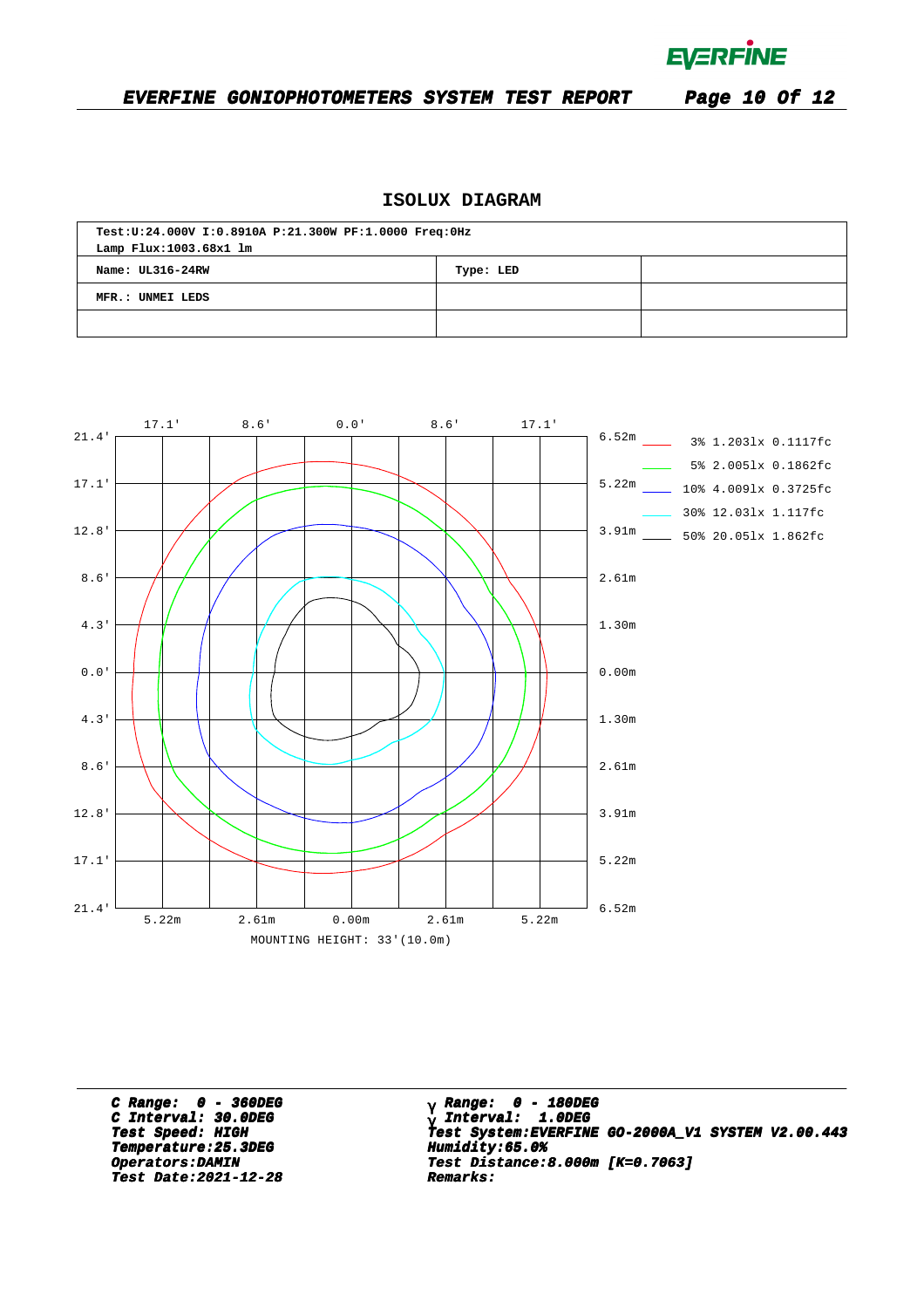**EVERFINE** 

### **EVERFINE GONIOPHOTOMETERS SYSTEM TEST REPORT Page 10 Of 12**

### **ISOLUX DIAGRAM**

| Test:U:24.000V I:0.8910A P:21.300W PF:1.0000 Freq:0Hz |           |  |  |  |  |  |  |  |  |
|-------------------------------------------------------|-----------|--|--|--|--|--|--|--|--|
| Lamp Flux:1003.68x1 lm                                |           |  |  |  |  |  |  |  |  |
| Name: UL316-24RW                                      | Type: LED |  |  |  |  |  |  |  |  |
| MFR.: UNMEI LEDS                                      |           |  |  |  |  |  |  |  |  |
|                                                       |           |  |  |  |  |  |  |  |  |



**C Range: 0 - 360DEG C Interval: 30.0DEG Temperature:25.3DEG Humidity:65.0% Temperature:25.3DEG Humidity:65.0% Test Date:2021-12-28 Remarks: Date:2021-12-28 Remarks:**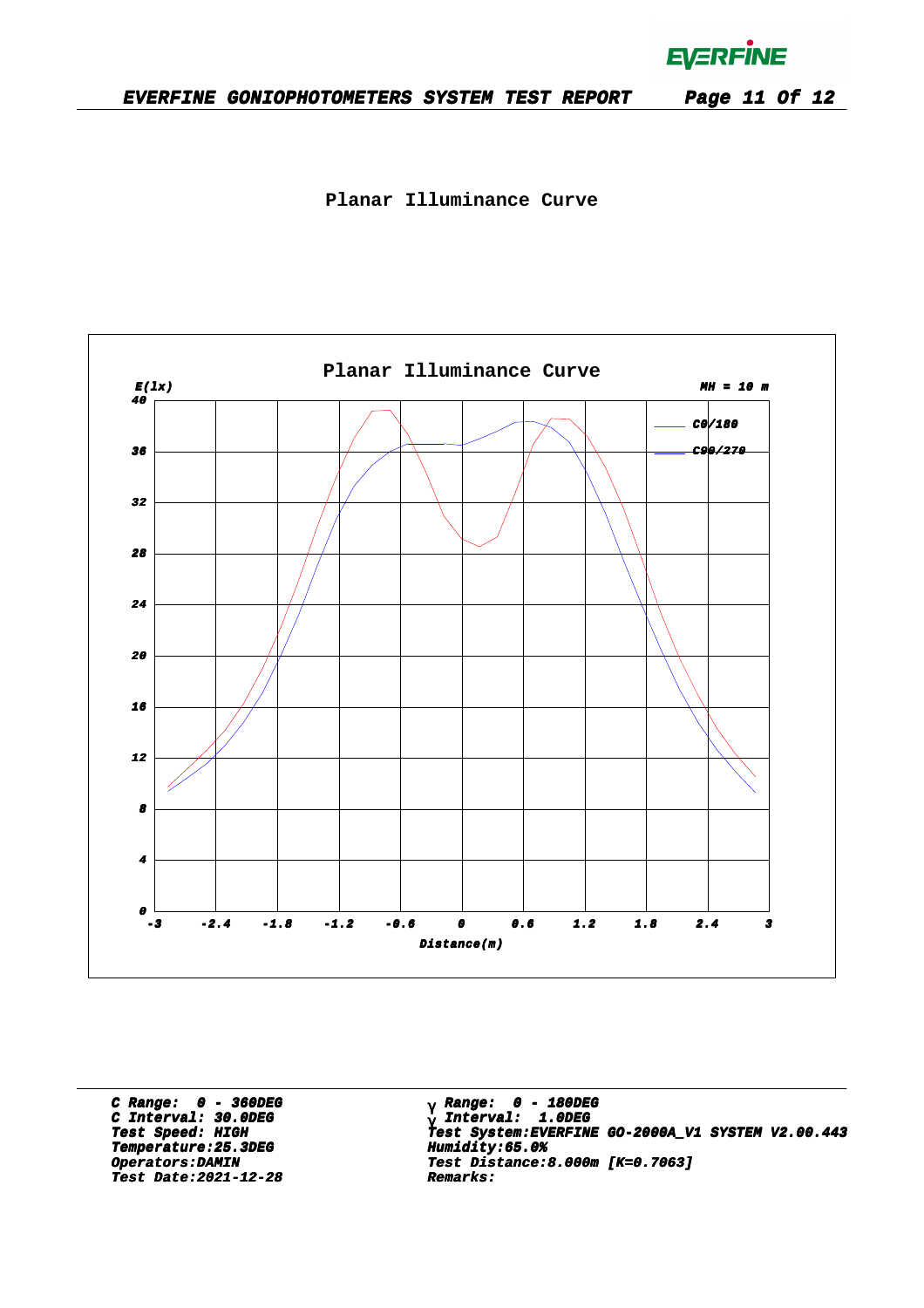**EVERFINE** 

**Planar Illuminance Curve**



**C Range: 0 - 360DEG C Interval: 30.0DEG Temperature:25.3DEG Humidity:65.0% Temperature:25.3DEG Humidity:65.0% Test Date:2021-12-28 Remarks: Date:2021-12-28 Remarks:**